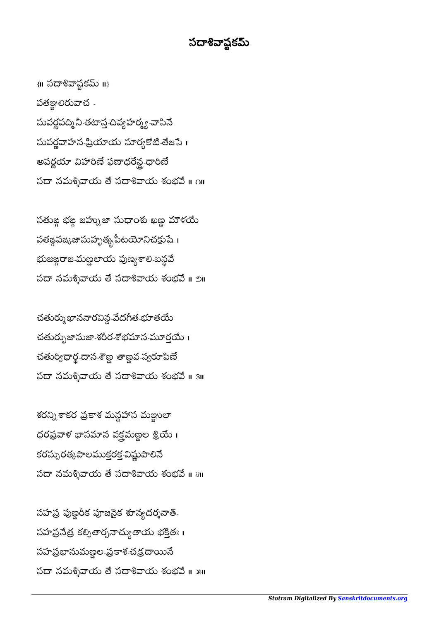## సదాశివాష్టకమ్

 $\{II\}$ సదాశివాప్షకమ్ $II\}$ పతఞ్ఞలిరువాచ -సువర్ణపద్మి నీ తటాన్త చివ్యహర్మ్య -వాసినే సుపర్ణవాహన-ఫ్రియాయ సూర్యకోటి-తేజసే। అపర్ణయా విహారిణే ఫణాధరేన్ధ ధారిణే సదా నమశ్శివాయ తే సదాశివాయ శంభవే ॥ ౧॥

సతుఙ భఙ జహ్నుజా సుధాంశు ఖణ్ణ మౌళయే పతఙ్గపఙ్కజాసుహృత్భపీటయోనిచక్షుషే । భుజఙ్గరాజ-మణ్ణలాయ పుణ్యశాలి-బన్ధవే సదా నమశ్శివాయ తే సదాశివాయ శంభవే ॥ ౨॥

చత్యఖాననారవిన్గ-వేదగీత-భూతయే చతుర్భుజానుజా-శరీర-శోభమాన-మూర్తయే । చతుర్విధార్థ-దాన-శౌణ్డ తాణ్డవ-స్వరూపిణే సదా నమశ్శివాయ తే సదాశివాయ శంభవే ॥ ३॥

శరన్నిశాకర ప్రకాశ మన్దహాస మజ్జులా ధరప్రవాళ భాసమాన వక్షమణ్ణల శ్రియే । కరస్పురత్కపాలముక్తరక విష్ణుపాలినే సదా నమశ్శివాయ తే సదాశివాయ శంభవే ॥ ४॥

సహప్ర పుణ్ణరీక పూజనైక శూన్యదర్శనాత్-సహ ప్రనేత్ర కల్పితార్చనాచ్యుతాయ భక్తితః । సహప్రభానుమణ్ణల-ప్రకాశ-చక్రదాయినే సదా నమశ్శివాయ తే సదాశివాయ శంభవే ॥ ౫॥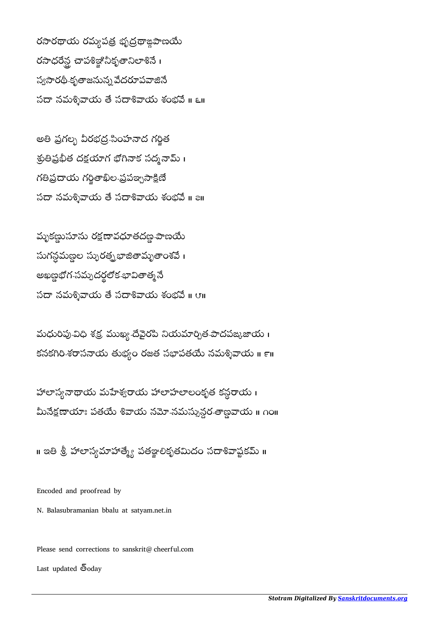రసారథాయ రమ్యపత్ర భృద్రథాఙ్ధపాణయే రసాధరేన్ల చాపశిజ్ఞి నీకృతానిలాశినే। స్యసారథీ-కృతాజనున్న వేదరూపవాజినే  $\sim$ సదా నమశ్నివాయ తే సదాశివాయ శంభవే ॥ ౬॥

అతి ప్రగల్భ వీరభద్ర-సింహనాద గర్జిత శ్రుతిప్రభీత దక్షయాగ భోగినాక సద్మనామ్ । గతిప్రదాయ గర్హితాఖీల-ప్రపఞ్నసాక్షిణే సదా నమశ్శివాయ తే సదాశివాయ శంభవే ॥ a॥

మృకణ్ణుసూను రక్షణావధూతదణ్ణ-పాణయే సుగన్ధమణ్ణల స్ఫురత్న భాజీతామృతాంశవే । అఖణ్డభోగ-సమ్పదర్థలోక-భావితాత్మనే  $\sim$ సదా నమశ్శివాయ తే సదాశివాయ శంభవే ॥  $\sigma$ ॥

మధురిపు-విధి శక్ర ముఖ్య-దేవైరపి నియమార్చిత-పాదపఙ్కజాయ । కనకగిరి శరాసనాయ తుభ్యం రజత సభాపతయే నమశ్శివాయ ॥ ౯॥

హాలాస్యనాథాయ మహేశ్వరాయ హాలాహలాలంకృత కన్ధరాయ i మీనేక్షణాయాః పతయే శివాయ నమో-నమస్సున్ధర-తాణ్ణవాయ ॥ ౧౦॥

॥ ఇతి శ్రీ హాలాస్యమాహాత్మ్యే పతజ్ఞాలికృతమిదం సదాశివాప్టకమ్ ॥

Encoded and proofread by

N. Balasubramanian bbalu at satyam.net.in

Please send corrections to sanskrit@cheerful.com Last updated  $\bar{\mathbb{S}}$ oday